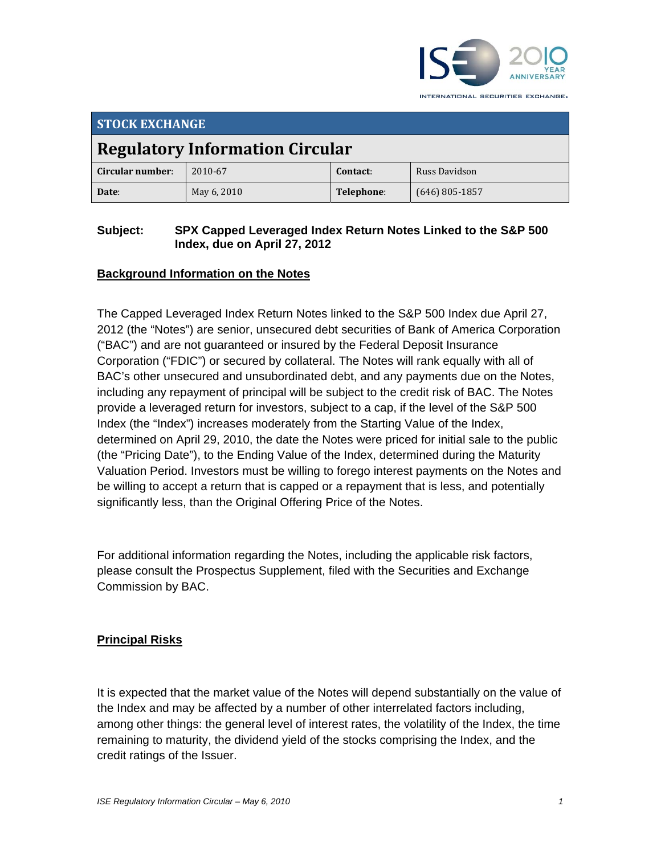

INTERNATIONAL SECURITIES EXCHANGE.

| <b>STOCK EXCHANGE</b>                  |             |            |                  |  |
|----------------------------------------|-------------|------------|------------------|--|
| <b>Regulatory Information Circular</b> |             |            |                  |  |
| Circular number:                       | 2010-67     | Contact:   | Russ Davidson    |  |
| Date:                                  | May 6, 2010 | Telephone: | $(646)$ 805-1857 |  |

#### **Subject: SPX Capped Leveraged Index Return Notes Linked to the S&P 500 Index, due on April 27, 2012**

## **Background Information on the Notes**

The Capped Leveraged Index Return Notes linked to the S&P 500 Index due April 27, 2012 (the "Notes") are senior, unsecured debt securities of Bank of America Corporation ("BAC") and are not guaranteed or insured by the Federal Deposit Insurance Corporation ("FDIC") or secured by collateral. The Notes will rank equally with all of BAC's other unsecured and unsubordinated debt, and any payments due on the Notes, including any repayment of principal will be subject to the credit risk of BAC. The Notes provide a leveraged return for investors, subject to a cap, if the level of the S&P 500 Index (the "Index") increases moderately from the Starting Value of the Index, determined on April 29, 2010, the date the Notes were priced for initial sale to the public (the "Pricing Date"), to the Ending Value of the Index, determined during the Maturity Valuation Period. Investors must be willing to forego interest payments on the Notes and be willing to accept a return that is capped or a repayment that is less, and potentially significantly less, than the Original Offering Price of the Notes.

For additional information regarding the Notes, including the applicable risk factors, please consult the Prospectus Supplement, filed with the Securities and Exchange Commission by BAC.

### **Principal Risks**

It is expected that the market value of the Notes will depend substantially on the value of the Index and may be affected by a number of other interrelated factors including, among other things: the general level of interest rates, the volatility of the Index, the time remaining to maturity, the dividend yield of the stocks comprising the Index, and the credit ratings of the Issuer.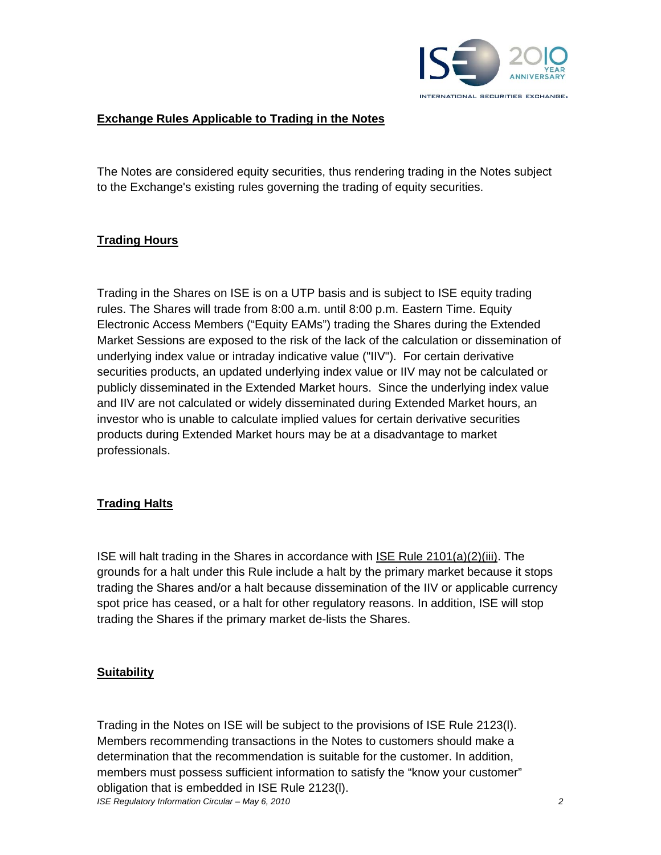

### **Exchange Rules Applicable to Trading in the Notes**

The Notes are considered equity securities, thus rendering trading in the Notes subject to the Exchange's existing rules governing the trading of equity securities.

### **Trading Hours**

Trading in the Shares on ISE is on a UTP basis and is subject to ISE equity trading rules. The Shares will trade from 8:00 a.m. until 8:00 p.m. Eastern Time. Equity Electronic Access Members ("Equity EAMs") trading the Shares during the Extended Market Sessions are exposed to the risk of the lack of the calculation or dissemination of underlying index value or intraday indicative value ("IIV"). For certain derivative securities products, an updated underlying index value or IIV may not be calculated or publicly disseminated in the Extended Market hours. Since the underlying index value and IIV are not calculated or widely disseminated during Extended Market hours, an investor who is unable to calculate implied values for certain derivative securities products during Extended Market hours may be at a disadvantage to market professionals.

### **Trading Halts**

ISE will halt trading in the Shares in accordance with ISE Rule 2101(a)(2)(iii). The grounds for a halt under this Rule include a halt by the primary market because it stops trading the Shares and/or a halt because dissemination of the IIV or applicable currency spot price has ceased, or a halt for other regulatory reasons. In addition, ISE will stop trading the Shares if the primary market de-lists the Shares.

### **Suitability**

*ISE Regulatory Information Circular – May 6, 2010 2* Trading in the Notes on ISE will be subject to the provisions of ISE Rule 2123(l). Members recommending transactions in the Notes to customers should make a determination that the recommendation is suitable for the customer. In addition, members must possess sufficient information to satisfy the "know your customer" obligation that is embedded in ISE Rule 2123(l).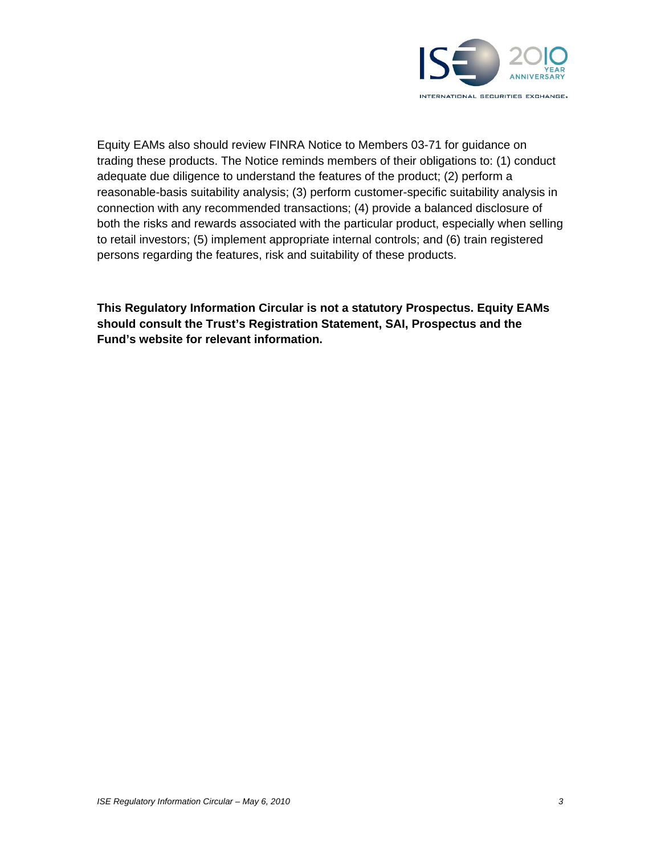

Equity EAMs also should review FINRA Notice to Members 03-71 for guidance on trading these products. The Notice reminds members of their obligations to: (1) conduct adequate due diligence to understand the features of the product; (2) perform a reasonable-basis suitability analysis; (3) perform customer-specific suitability analysis in connection with any recommended transactions; (4) provide a balanced disclosure of both the risks and rewards associated with the particular product, especially when selling to retail investors; (5) implement appropriate internal controls; and (6) train registered persons regarding the features, risk and suitability of these products.

**This Regulatory Information Circular is not a statutory Prospectus. Equity EAMs should consult the Trust's Registration Statement, SAI, Prospectus and the Fund's website for relevant information.**